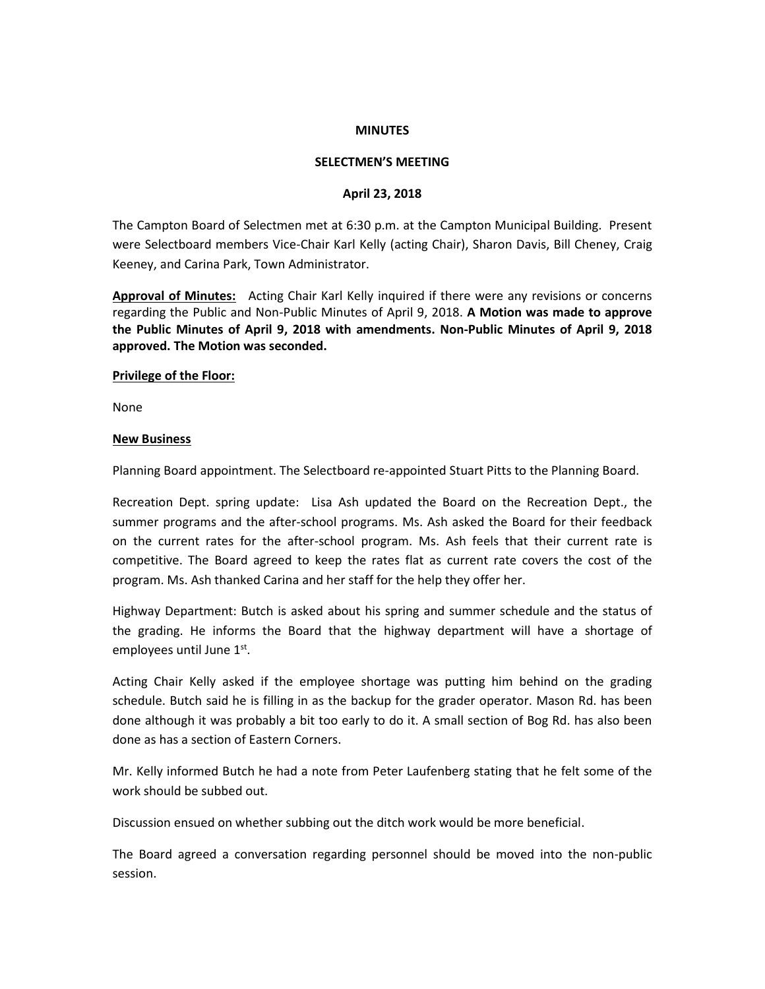### **MINUTES**

### **SELECTMEN'S MEETING**

#### **April 23, 2018**

The Campton Board of Selectmen met at 6:30 p.m. at the Campton Municipal Building. Present were Selectboard members Vice-Chair Karl Kelly (acting Chair), Sharon Davis, Bill Cheney, Craig Keeney, and Carina Park, Town Administrator.

**Approval of Minutes:** Acting Chair Karl Kelly inquired if there were any revisions or concerns regarding the Public and Non-Public Minutes of April 9, 2018. **A Motion was made to approve the Public Minutes of April 9, 2018 with amendments. Non-Public Minutes of April 9, 2018 approved. The Motion was seconded.** 

#### **Privilege of the Floor:**

None

#### **New Business**

Planning Board appointment. The Selectboard re-appointed Stuart Pitts to the Planning Board.

Recreation Dept. spring update: Lisa Ash updated the Board on the Recreation Dept., the summer programs and the after-school programs. Ms. Ash asked the Board for their feedback on the current rates for the after-school program. Ms. Ash feels that their current rate is competitive. The Board agreed to keep the rates flat as current rate covers the cost of the program. Ms. Ash thanked Carina and her staff for the help they offer her.

Highway Department: Butch is asked about his spring and summer schedule and the status of the grading. He informs the Board that the highway department will have a shortage of employees until June 1st.

Acting Chair Kelly asked if the employee shortage was putting him behind on the grading schedule. Butch said he is filling in as the backup for the grader operator. Mason Rd. has been done although it was probably a bit too early to do it. A small section of Bog Rd. has also been done as has a section of Eastern Corners.

Mr. Kelly informed Butch he had a note from Peter Laufenberg stating that he felt some of the work should be subbed out.

Discussion ensued on whether subbing out the ditch work would be more beneficial.

The Board agreed a conversation regarding personnel should be moved into the non-public session.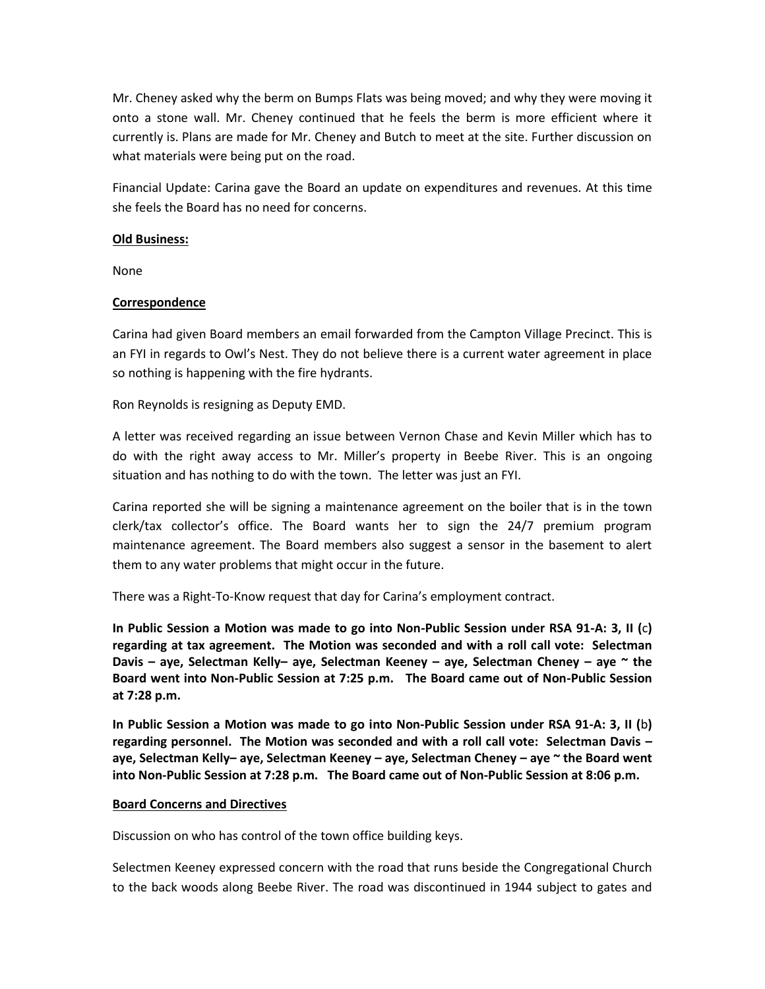Mr. Cheney asked why the berm on Bumps Flats was being moved; and why they were moving it onto a stone wall. Mr. Cheney continued that he feels the berm is more efficient where it currently is. Plans are made for Mr. Cheney and Butch to meet at the site. Further discussion on what materials were being put on the road.

Financial Update: Carina gave the Board an update on expenditures and revenues. At this time she feels the Board has no need for concerns.

# **Old Business:**

None

# **Correspondence**

Carina had given Board members an email forwarded from the Campton Village Precinct. This is an FYI in regards to Owl's Nest. They do not believe there is a current water agreement in place so nothing is happening with the fire hydrants.

Ron Reynolds is resigning as Deputy EMD.

A letter was received regarding an issue between Vernon Chase and Kevin Miller which has to do with the right away access to Mr. Miller's property in Beebe River. This is an ongoing situation and has nothing to do with the town. The letter was just an FYI.

Carina reported she will be signing a maintenance agreement on the boiler that is in the town clerk/tax collector's office. The Board wants her to sign the 24/7 premium program maintenance agreement. The Board members also suggest a sensor in the basement to alert them to any water problems that might occur in the future.

There was a Right-To-Know request that day for Carina's employment contract.

**In Public Session a Motion was made to go into Non-Public Session under RSA 91-A: 3, II (**c**) regarding at tax agreement. The Motion was seconded and with a roll call vote: Selectman Davis – aye, Selectman Kelly– aye, Selectman Keeney – aye, Selectman Cheney – aye ~ the Board went into Non-Public Session at 7:25 p.m. The Board came out of Non-Public Session at 7:28 p.m.**

**In Public Session a Motion was made to go into Non-Public Session under RSA 91-A: 3, II (**b**) regarding personnel. The Motion was seconded and with a roll call vote: Selectman Davis – aye, Selectman Kelly– aye, Selectman Keeney – aye, Selectman Cheney – aye ~ the Board went into Non-Public Session at 7:28 p.m. The Board came out of Non-Public Session at 8:06 p.m.**

# **Board Concerns and Directives**

Discussion on who has control of the town office building keys.

Selectmen Keeney expressed concern with the road that runs beside the Congregational Church to the back woods along Beebe River. The road was discontinued in 1944 subject to gates and